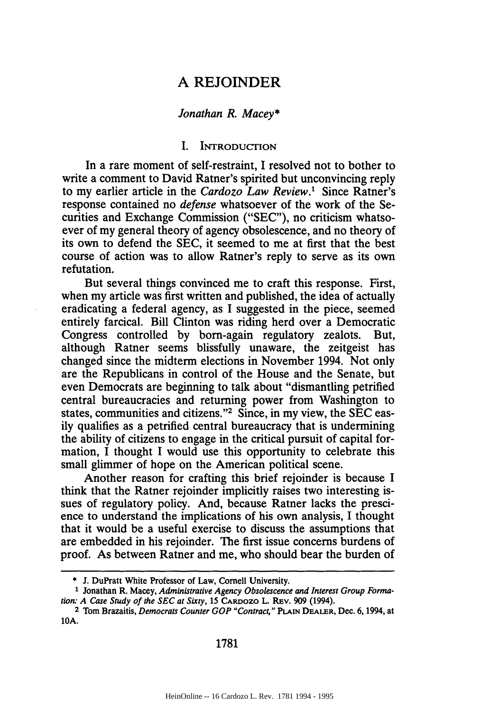# **A** REJOINDER

#### *Jonathan R. Macey\**

#### I. INTRODUCTION

In a rare moment of self-restraint, I resolved not to bother to write a comment to David Ratner's spirited but unconvincing reply to my earlier article in the *Cardozo Law Review.'* Since Ratner's response contained no *defense* whatsoever of the work of the Securities and Exchange Commission ("SEC"), no criticism whatsoever of my general theory of agency obsolescence, and no theory of its own to defend the SEC, it seemed to me at first that the best course of action was to allow Ratner's reply to serve as its own refutation.

But several things convinced me to craft this response. First, when my article was first written and published, the idea of actually eradicating a federal agency, as I suggested in the piece, seemed entirely farcical. Bill Clinton was riding herd over a Democratic Congress controlled by born-again regulatory zealots. But, although Ratner seems blissfully unaware, the zeitgeist has changed since the midterm elections in November 1994. Not only are the Republicans in control of the House and the Senate, but even Democrats are beginning to talk about "dismantling petrified central bureaucracies and returning power from Washington to states, communities and citizens."<sup>2</sup> Since, in my view, the SEC easily qualifies as a petrified central bureaucracy that is undermining the ability of citizens to engage in the critical pursuit of capital formation, I thought I would use this opportunity to celebrate this small glimmer of hope on the American political scene.

Another reason for crafting this brief rejoinder is because I think that the Ratner rejoinder implicitly raises two interesting issues of regulatory policy. And, because Ratner lacks the prescience to understand the implications of his own analysis, I thought that it would be a useful exercise to discuss the assumptions that are embedded in his rejoinder. The first issue concerns burdens of proof. As between Ratner and me, who should bear the burden of

1781

**<sup>\*</sup> J.** DuPratt White Professor of Law, Cornell University.

**<sup>1</sup>** Jonathan R. Macey, Administrative Agency Obsolescence *and Interest Group Formation: A Case Study of the SEC at Sixty,* 15 CARDozo L. REv. 909 (1994).

**<sup>2</sup>** Tom Brazaitis, *Democrats Counter GOP "Contract,"* PLAIN **DEALER,** Dec. 6, 1994, at **10A.**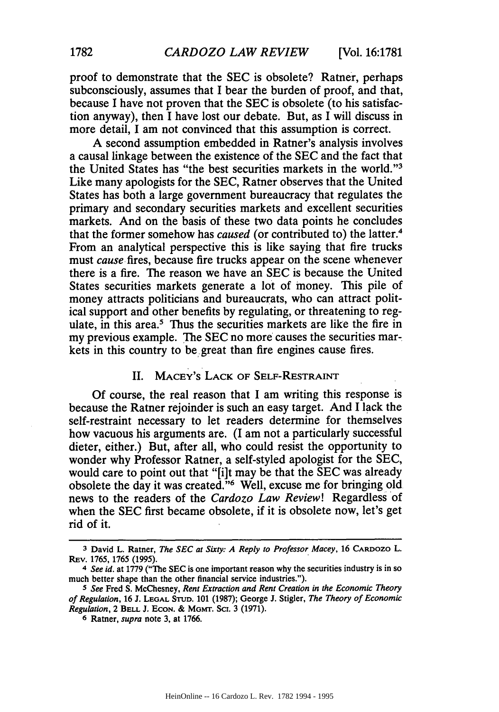proof to demonstrate that the SEC is obsolete? Ratner, perhaps subconsciously, assumes that I bear the burden of proof, and that, because I have not proven that the SEC is obsolete (to his satisfaction anyway), then I have lost our debate. But, as I will discuss in more detail, I am not convinced that this assumption is correct.

A second assumption embedded in Ratner's analysis involves a causal linkage between the existence of the SEC and the fact that the United States has "the best securities markets in the world."<sup>3</sup> Like many apologists for the SEC, Ratner observes that the United States has both a large government bureaucracy that regulates the primary and secondary securities markets and excellent securities markets. And on the basis of these two data points he concludes that the former somehow has *caused* (or contributed to) the latter.4 From an analytical perspective this is like saying that fire trucks must *cause* fires, because fire trucks appear on the scene whenever there is a fire. The reason we have an SEC is because the United States securities markets generate a lot of money. This pile of money attracts politicians and bureaucrats, who can attract political support and other benefits by regulating, or threatening to regulate, in this area.<sup>5</sup> Thus the securities markets are like the fire in my previous example. The SEC no more causes the securities markets in this country to be, great than fire engines cause fires.

# II. MACEY'S LACK OF SELF-RESTRAINT

Of course, the real reason that I am writing this response is because the Ratner rejoinder is such an easy target. And I lack the self-restraint necessary to let readers determine for themselves how vacuous his arguments are. (I am not a particularly successful dieter, either.) But, after all, who could resist the opportunity to wonder why Professor Ratner, a self-styled apologist for the SEC, would care to point out that "[i]t may be that the SEC was already obsolete the day it was created."'6 Well, excuse me for bringing old news to the readers of the *Cardozo Law Review!* Regardless of when the SEC first became obsolete, if it is obsolete now, let's get rid of it.

**<sup>3</sup> David** L. Ratner, *The SEC at Sixty: A Reply to Professor Macey,* 16 CARDOZO L. REv. 1765, 1765 (1995).

*<sup>4</sup> See id.* at 1779 ("The SEC is one important reason why the securities industry is in so much better shape than the other financial service industries.").

*<sup>5</sup> See* Fred S. McChesney, *Rent Extraction and Rent Creation in the Economic Theory of Regulation,* 16 J. **LEGAL STUD.** 101 (1987); George J. Stigler, *The Theory of Economic Regulation, 2 BELL J. ECON. & MGMT. SCI. 3 (1971).* 

**<sup>6</sup>** Ratner, *supra* note 3, at 1766.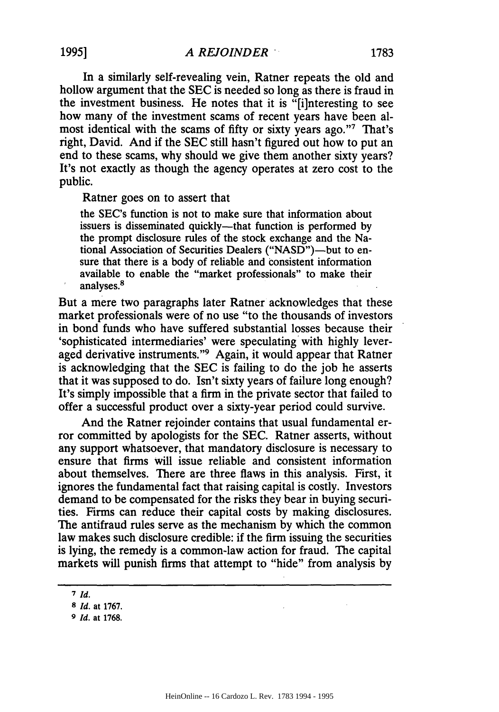In a similarly self-revealing vein, Ratner repeats the old and hollow argument that the SEC is needed so long as there is fraud in the investment business. He notes that it is "[i]nteresting to see how many of the investment scams of recent years have been almost identical with the scams of fifty or sixty years ago."7 That's right, David. And if the SEC still hasn't figured out how to put an end to these scams, why should we give them another sixty years? It's not exactly as though the agency operates at zero cost to the public.

Ratner goes on to assert that

the SEC's function is not to make sure that information about issuers is disseminated quickly—that function is performed by the prompt disclosure rules of the stock exchange and the National Association of Securities Dealers ("NASD")-but to ensure that there is a body of reliable and consistent information available to enable the "market professionals" to make their analyses.8

But a mere two paragraphs later Ratner acknowledges that these market professionals were of no use "to the thousands of investors in bond funds who have suffered substantial losses because their 'sophisticated intermediaries' were speculating with highly leveraged derivative instruments."9 Again, it would appear that Ratner is acknowledging that the SEC is failing to do the job he asserts that it was supposed to do. Isn't sixty years of failure long enough? It's simply impossible that a firm in the private sector that failed to offer a successful product over a sixty-year period could survive.

And the Ratner rejoinder contains that usual fundamental error committed by apologists for the SEC. Ratner asserts, without any support whatsoever, that mandatory disclosure is necessary to ensure that firms will issue reliable and consistent information about themselves. There are three flaws in this analysis. First, it ignores the fundamental fact that raising capital is costly. Investors demand to be compensated for the risks they bear in buying securities. Firms can reduce their capital costs by making disclosures. The antifraud rules serve as the mechanism by which the common law makes such disclosure credible: if the firm issuing the securities is lying, the remedy is a common-law action for fraud. The capital markets will punish firms that attempt to "hide" from analysis by

**<sup>7</sup>** *Id.*

**<sup>8</sup>** *Id.* at 1767.

**<sup>9</sup>** *Id.* at 1768.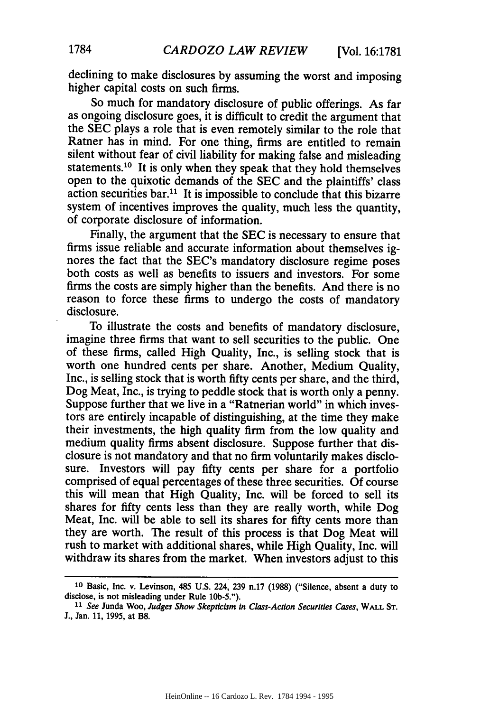declining to make disclosures **by** assuming the worst and imposing higher capital costs on such firms.

So much for mandatory disclosure of public offerings. As far as ongoing disclosure goes, it is difficult to credit the argument that the SEC plays a role that is even remotely similar to the role that Ratner has in mind. For one thing, firms are entitled to remain silent without fear of civil liability for making false and misleading statements.<sup>10</sup> It is only when they speak that they hold themselves open to the quixotic demands of the SEC and the plaintiffs' class action securities bar.<sup>11</sup> It is impossible to conclude that this bizarre system of incentives improves the quality, much less the quantity, of corporate disclosure of information.

Finally, the argument that the SEC is necessary to ensure that firms issue reliable and accurate information about themselves ignores the fact that the SEC's mandatory disclosure regime poses both costs as well as benefits to issuers and investors. For some firms the costs are simply higher than the benefits. And there is no reason to force these firms to undergo the costs of mandatory disclosure.

To illustrate the costs and benefits of mandatory disclosure, imagine three firms that want to sell securities to the public. One of these firms, called High Quality, Inc., is selling stock that is worth one hundred cents per share. Another, Medium Quality, Inc., is selling stock that is worth fifty cents per share, and the third, Dog Meat, Inc., is trying to peddle stock that is worth only a penny. Suppose further that we live in a "Ratnerian world" in which investors are entirely incapable of distinguishing, at the time they make their investments, the high quality firm from the low quality and medium quality firms absent disclosure. Suppose further that disclosure is not mandatory and that no firm voluntarily makes disclosure. Investors will pay fifty cents per share for a portfolio comprised of equal percentages of these three securities. Of course this will mean that High Quality, Inc. will be forced to sell its shares for fifty cents less than they are really worth, while Dog Meat, Inc. will be able to sell its shares for fifty cents more than they are worth. The result of this process is that Dog Meat will rush to market with additional shares, while High Quality, Inc. will withdraw its shares from the market. When investors adjust to this

**<sup>10</sup>** Basic, Inc. v. Levinson, 485 U.S. 224, 239 n.17 (1988) ("Silence, absent a duty to disclose, is not misleading under Rule 10b-5.").

*<sup>11</sup>See* Junda Woo, *Judges Show Skepticism in Class-Action Securities Cases,* WALL **ST. J.,** Jan. 11, 1995, at B8.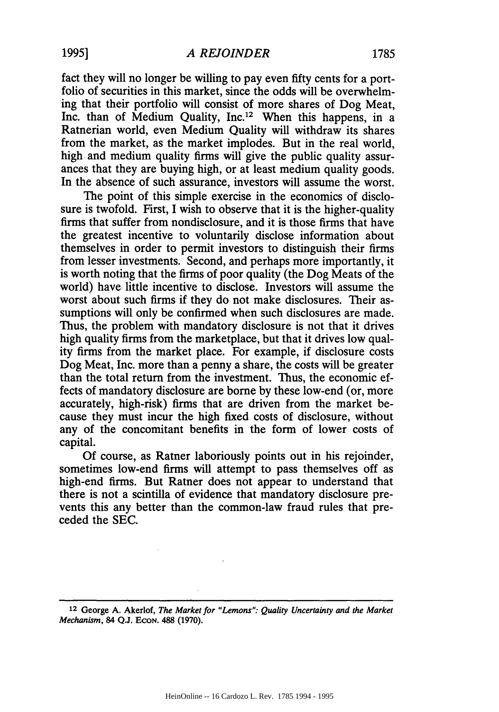fact they will no longer be willing to pay even fifty cents for a portfolio of securities in this market, since the odds will be overwhelming that their portfolio will consist of more shares of Dog Meat, Inc. than of Medium Quality, Inc.<sup>12</sup> When this happens, in a Ratnerian world, even Medium Quality will withdraw its shares from the market, as the market implodes. But in the real world, high and medium quality firms will give the public quality assurances that they are buying high, or at least medium quality goods. In the absence of such assurance, investors will assume the worst.

The point of this simple exercise in the economics of disclosure is twofold. First, I wish to observe that it is the higher-quality firms that suffer from nondisclosure, and it is those firms that have the greatest incentive to voluntarily disclose information about themselves in order to permit investors to distinguish their firms from lesser investments. Second, and perhaps more importantly, it is worth noting that the firms of poor quality (the Dog Meats of the world) have little incentive to disclose. Investors will assume the worst about such firms if they do not make disclosures. Their assumptions will only be confirmed when such disclosures are made. Thus, the problem with mandatory disclosure is not that it drives high quality firms from the marketplace, but that it drives low quality firms from the market place. For example, if disclosure costs Dog Meat, Inc. more than a penny a share, the costs will be greater than the total return from the investment. Thus, the economic effects of mandatory disclosure are borne by these low-end (or, more accurately, high-risk) firms that are driven from the market because they must incur the high fixed costs of disclosure, without any of the concomitant benefits in the form of lower costs of capital.

**Of** course, as Ratner laboriously points out in his rejoinder, sometimes low-end firms will attempt to pass themselves off as high-end firms. But Ratner does not appear to understand that there is not a scintilla of evidence that mandatory disclosure prevents this any better than the common-law fraud rules that preceded the SEC.

**<sup>12</sup>**George A. Akerlof, *The Market for "Lemons": Quality Uncertainty and the Market Mechanism,* **84 Q.J. ECON. 488 (1970).**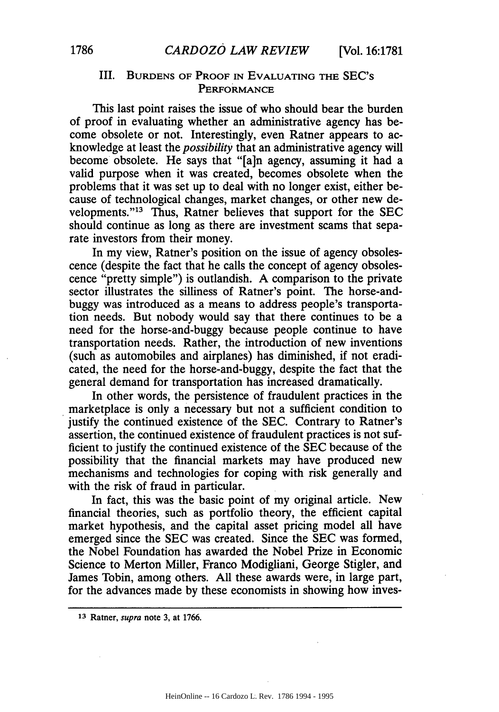# III. **BURDENS** OF PROOF **IN EVALUATING THE** SEC's PERFORMANCE

This last point raises the issue of who should bear the burden of proof in evaluating whether an administrative agency has become obsolete or not. Interestingly, even Ratner appears to acknowledge at least the *possibility* that an administrative agency will become obsolete. He says that "[a]n agency, assuming it had a valid purpose when it was created, becomes obsolete when the problems that it was set up to deal with no longer exist, either because of technological changes, market changes, or other new developments."13 Thus, Ratner believes that support for the **SEC** should continue as long as there are investment scams that separate investors from their money.

In my view, Ratner's position on the issue of agency obsolescence (despite the fact that he calls the concept of agency obsolescence "pretty simple") is outlandish. A comparison to the private sector illustrates the silliness of Ratner's point. The horse-andbuggy was introduced as a means to address people's transportation needs. But nobody would say that there continues to be a need for the horse-and-buggy because people continue to have transportation needs. Rather, the introduction of new inventions (such as automobiles and airplanes) has diminished, if not eradicated, the need for the horse-and-buggy, despite the fact that the general demand for transportation has increased dramatically.

In other words, the persistence of fraudulent practices in the marketplace is only a necessary but not a sufficient condition to justify the continued existence of the SEC. Contrary to Ratner's assertion, the continued existence of fraudulent practices is not sufficient to justify the continued existence of the SEC because of the possibility that the financial markets may have produced new mechanisms and technologies for coping with risk generally and with the risk of fraud in particular.

In fact, this was the basic point of my original article. New financial theories, such as portfolio theory, the efficient capital market hypothesis, and the capital asset pricing model all have emerged since the SEC was created. Since the SEC was formed, the Nobel Foundation has awarded the Nobel Prize in Economic Science to Merton Miller, Franco Modigliani, George Stigler, and James Tobin, among others. All these awards were, in large part, for the advances made by these economists in showing how inves-

**<sup>13</sup> Ratner,** *supra* **note 3, at 1766.**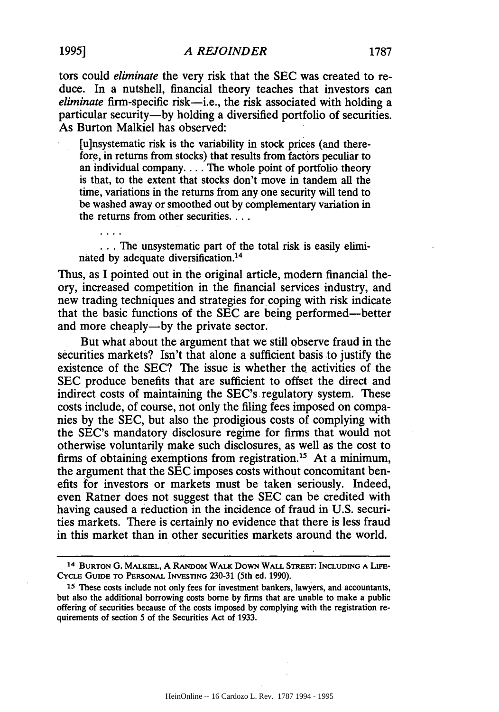tors could *eliminate* the very risk that the SEC was created to reduce. In a nutshell, financial theory teaches that investors can *eliminate* firm-specific risk-i.e., the risk associated with holding a particular security-by holding a diversified portfolio of securities. As Burton Malkiel has observed:

[u]nsystematic risk is the variability in stock prices (and therefore, in returns from stocks) that results from factors peculiar to an individual company.... The whole point of portfolio theory is that, to the extent that stocks don't move in tandem all the time, variations in the returns from any one security will tend to be washed away or smoothed out by complementary variation in the returns from other securities...

... The unsystematic part of the total risk is easily eliminated by adequate diversification. <sup>14</sup>

Thus, as I pointed out in the original article, modem financial theory, increased competition in the financial services industry, and new trading techniques and strategies for coping with risk indicate that the basic functions of the SEC are being performed-better and more cheaply—by the private sector.

But what about the argument that we still observe fraud in the securities markets? Isn't that alone a sufficient basis to justify the existence of the SEC? The issue is whether the activities of the SEC produce benefits that are sufficient to offset the direct and indirect costs of maintaining the SEC's regulatory system. These costs include, of course, not only the filing fees imposed on companies by the SEC, but also the prodigious costs of complying with the SEC's mandatory disclosure regime for firms that would not otherwise voluntarily make such disclosures, as well as the cost to firms of obtaining exemptions from registration.<sup>15</sup> At a minimum, the argument that the SEC imposes costs without concomitant benefits for investors or markets must be taken seriously. Indeed, even Ratner does not suggest that the SEC can be credited with having caused a reduction in the incidence of fraud in U.S. securities markets. There is certainly no evidence that there is less fraud in this market than in other securities markets around the world.

<sup>14</sup> BURTON **G.** MALKIEL, A RANDOM WALK DowN WALL STREET: **INCLUDING A LIFE-CYcLE** GUIDE TO **PERSONAL** INVESTING 230-31 (5th ed. 1990).

**<sup>15</sup>** These costs include not only fees for investment bankers, lawyers, and accountants, but also the additional borrowing costs borne by firms that are unable to make a public offering of securities because of the costs imposed by complying with the registration requirements of section 5 of the Securities Act of 1933.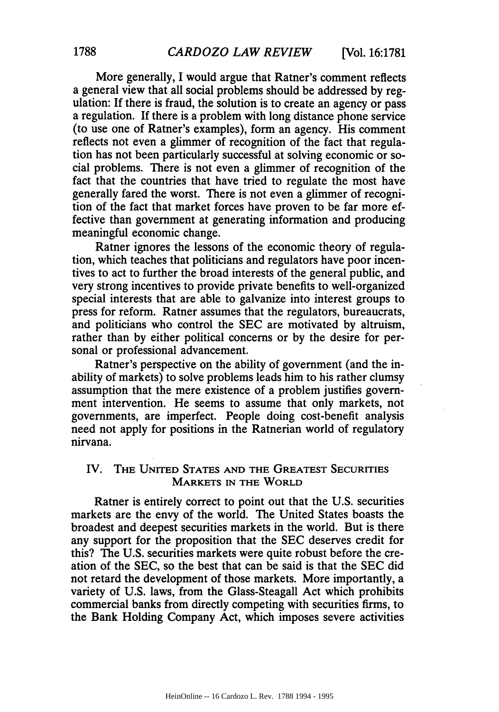More generally, I would argue that Ratner's comment reflects a general view that all social problems should be addressed by regulation: If there is fraud, the solution is to create an agency or pass a regulation. If there is a problem with long distance phone service (to use one of Ratner's examples), form an agency. His comment reflects not even a glimmer of recognition of the fact that regulation has not been particularly successful at solving economic or social problems. There is not even a glimmer of recognition of the fact that the countries that have tried to regulate the most have generally fared the worst. There is not even a glimmer of recognition of the fact that market forces have proven to be far more effective than government at generating information and producing meaningful economic change.

Ratner ignores the lessons of the economic theory of regulation, which teaches that politicians and regulators have poor incentives to act to further the broad interests of the general public, and very strong incentives to provide private benefits to well-organized special interests that are able to galvanize into interest groups to press for reform. Ratner assumes that the regulators, bureaucrats, and politicians who control the SEC are motivated by altruism, rather than by either political concerns or by the desire for personal or professional advancement.

Ratner's perspective on the ability of government (and the inability of markets) to solve problems leads him to his rather clumsy assumption that the mere existence of a problem justifies government intervention. He seems to assume that only markets, not governments, are imperfect. People doing cost-benefit analysis need not apply for positions in the Ratnerian world of regulatory nirvana.

# IV. THE UNITED STATES AND THE GREATEST SECURITIES MARKETS **IN** THE WORLD

Ratner is entirely correct to point out that the U.S. securities markets are the envy of the world. The United States boasts the broadest and deepest securities markets in the world. But is there any support for the proposition that the SEC deserves credit for this? The U.S. securities markets were quite robust before the creation of the SEC, so the best that can be said is that the SEC did not retard the development of those markets. More importantly, a variety of U.S. laws, from the Glass-Steagall Act which prohibits commercial banks from directly competing with securities firms, to the Bank Holding Company Act, which imposes severe activities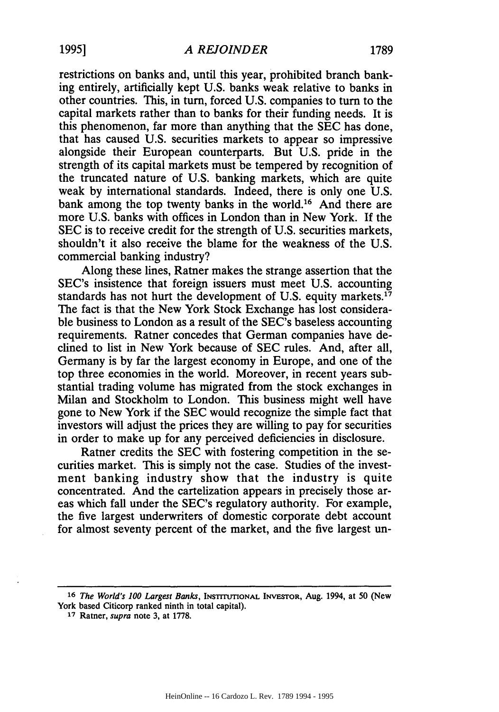restrictions on banks and, until this year, prohibited branch banking entirely, artificially kept U.S. banks weak relative to banks in other countries. This, in turn, forced U.S. companies to turn to the capital markets rather than to banks for their funding needs. It is this phenomenon, far more than anything that the SEC has done, that has caused U.S. securities markets to appear so impressive alongside their European counterparts. But U.S. pride in the strength of its capital markets must be tempered by recognition of the truncated nature of U.S. banking markets, which are quite weak by international standards. Indeed, there is only one U.S. bank among the top twenty banks in the world.<sup>16</sup> And there are more U.S. banks with offices in London than in New York. If the SEC is to receive credit for the strength of U.S. securities markets, shouldn't it also receive the blame for the weakness of the U.S. commercial banking industry?

Along these lines, Ratner makes the strange assertion that the SEC's insistence that foreign issuers must meet U.S. accounting standards has not hurt the development of U.S. equity markets.<sup>17</sup> The fact is that the New York Stock Exchange has lost considerable business to London as a result of the SEC's baseless accounting requirements. Ratner concedes that German companies have declined to list in New York because of SEC rules. And, after all, Germany is by far the largest economy in Europe, and one of the top three economies in the world. Moreover, in recent years substantial trading volume has migrated from the stock exchanges in Milan and Stockholm to London. This business might well have gone to New York if the SEC would recognize the simple fact that investors will adjust the prices they are willing to pay for securities in order to make up for any perceived deficiencies in disclosure.

Ratner credits the SEC with fostering competition in the securities market. This is simply not the case. Studies of the investment banking industry show that the industry is quite concentrated. And the cartelization appears in precisely those areas which fall under the SEC's regulatory authority. For example, the five largest underwriters of domestic corporate debt account for almost seventy percent of the market, and the five largest un-

**<sup>16</sup>** *The World's 100 Largest Banks,* **INSTITIlONAL** INVESTOR, Aug. 1994, at 50 (New York based Citicorp ranked ninth in total capital).

**<sup>17</sup>** Ratner, *supra* note 3, at 1778.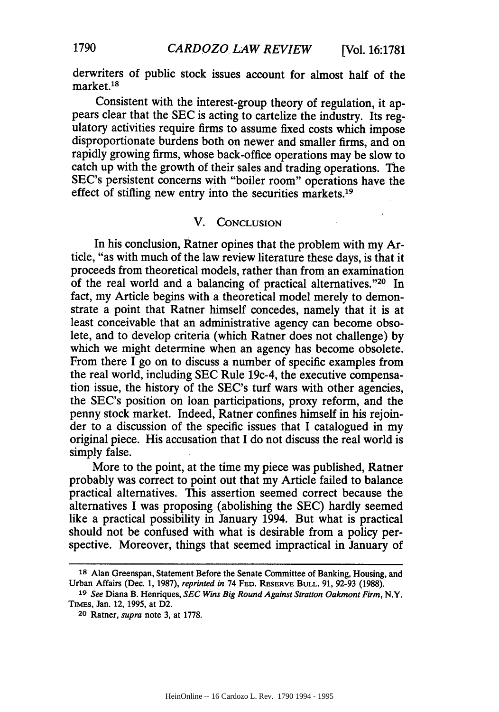derwriters of public stock issues account for almost half of the market. <sup>18</sup>

Consistent with the interest-group theory of regulation, it appears clear that the SEC is acting to cartelize the industry. Its regulatory activities require firms to assume fixed costs which impose disproportionate burdens both on newer and smaller firms, and on rapidly growing firms, whose back-office operations may be slow to catch up with the growth of their sales and trading operations. The SEC's persistent concerns with "boiler room" operations have the effect of stifling new entry into the securities markets.<sup>19</sup>

#### V. **CONCLUSION**

In his conclusion, Ratner opines that the problem with my Article, "as with much of the law review literature these days, is that it proceeds from theoretical models, rather than from an examination of the real world and a balancing of practical alternatives."20 In fact, my Article begins with a theoretical model merely to demonstrate a point that Ratner himself concedes, namely that it is at least conceivable that an administrative agency can become obsolete, and to develop criteria (which Ratner does not challenge) by which we might determine when an agency has become obsolete. From there I go on to discuss a number of specific examples from the real world, including SEC Rule 19c-4, the executive compensation issue, the history of the SEC's turf wars with other agencies, the SEC's position on loan participations, proxy reform, and the penny stock market. Indeed, Ratner confines himself in his rejoin- der to a discussion of the specific issues that I catalogued in my original piece. His accusation that I do not discuss the real world is simply false.

More to the point, at the time my piece was published, Ratner probably was correct to point out that my Article failed to balance practical alternatives. This assertion seemed correct because the alternatives I was proposing (abolishing the SEC) hardly seemed like a practical possibility in January 1994. But what is practical should not be confused with what is desirable from a policy perspective. Moreover, things that seemed impractical in January of

**<sup>18</sup>** Alan Greenspan, Statement Before the Senate Committee of Banking, Housing, and Urban Affairs (Dec. 1, 1987), *reprinted in* 74 **FED.** RESERVE **BULL.** 91, 92-93 (1988).

*<sup>19</sup> See* Diana B. Henriques, *SEC Wins Big Round Against Stratton Oakmont Firm,* N.Y. TiMEs, Jan. 12, **1995,** at D2.

**<sup>20</sup>** Ratner, *supra* note 3, at 1778.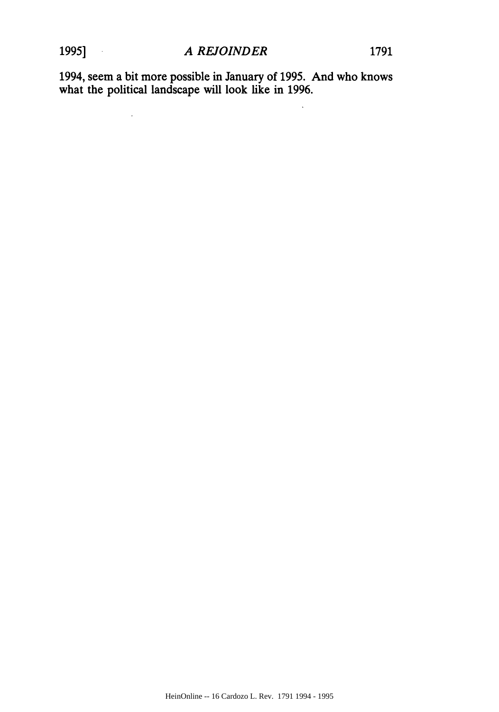$\ddot{\phantom{0}}$ 

1994, seem a bit more possible in January of 1995. And who knows what the political landscape will look like in 1996.